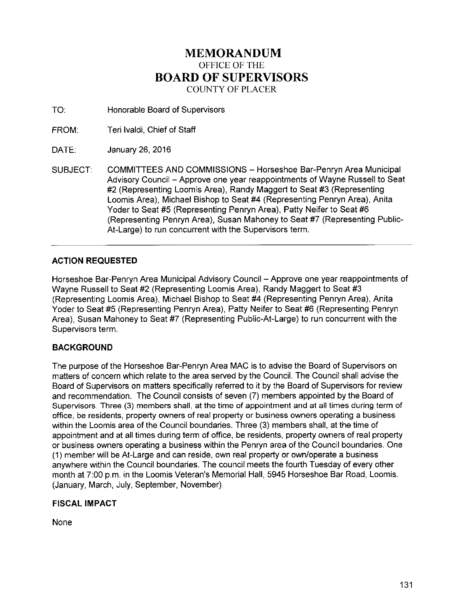# **MEMORANDUM**  OFFICE OF THE **BOARD OF SUPERVISORS**  COUNTY OF PLACER

- TO: Honorable Board of Supervisors
- FROM: Teri lvaldi, Chief of Staff
- DATE: January 26, 2016
- SUBJECT: COMMITTEES AND COMMISSIONS- Horseshoe Bar-Penryn Area Municipal Advisory Council - Approve one year reappointments of Wayne Russell to Seat #2 (Representing Loomis Area}, Randy Maggert to Seat #3 (Representing Loomis Area), Michael Bishop to Seat #4 (Representing Penryn Area), Anita Yoder to Seat #5 (Representing Penryn Area}, Patty Neifer to Seat #6 (Representing Penryn Area), Susan Mahoney to Seat #7 (Representing Public-At-Large) to run concurrent with the Supervisors term.

# **ACTION REQUESTED**

Horseshoe Bar-Penryn Area Municipal Advisory Council - Approve one year reappointments of Wayne Russell to Seat #2 (Representing Loomis Area}, Randy Maggert to Seat #3 (Representing Loomis Area), Michael Bishop to Seat #4 (Representing Penryn Area), Anita Yoder to Seat #5 (Representing Penryn Area), Patty Neifer to Seat #6 (Representing Penryn Area}, Susan Mahoney to Seat #7 (Representing Public-At-Large) to run concurrent with the Supervisors term.

## **BACKGROUND**

The purpose of the Horseshoe Bar-Penryn Area MAC is to advise the Board of Supervisors on matters of concern which relate to the area served by the Council. The Council shall advise the Board of Supervisors on matters specifically referred to it by the Board of Supervisors for review and recommendation. The Council consists of seven (7) members appointed by the Board of Supervisors. Three (3) members shall, at the time of appointment and at all times during term of office, be residents, property owners of real property or business owners operating a business within the Loomis area of the Council boundaries. Three (3) members shall, at the time of appointment and at all times during term of office, be residents, property owners of real property or business owners operating a business within the Penryn area of the Council boundaries. One (1) member will be At-Large and can reside, own real property or own/operate a business anywhere within the Council boundaries. The council meets the fourth Tuesday of every other month at 7:00 p.m. in the Loomis Veteran's Memorial Hall, 5945 Horseshoe Bar Road, Loomis. (January, March, July, September, November).

# **FISCAL IMPACT**

None